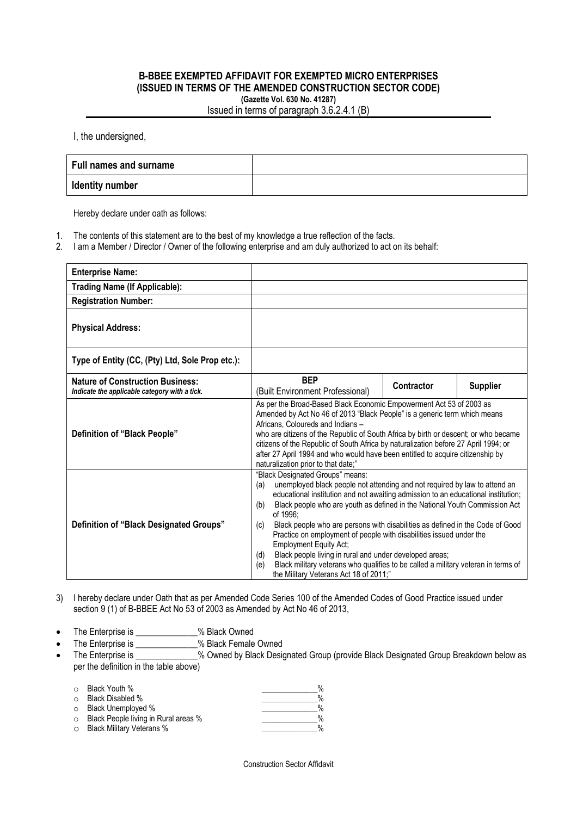## **B-BBEE EXEMPTED AFFIDAVIT FOR EXEMPTED MICRO ENTERPRISES (ISSUED IN TERMS OF THE AMENDED CONSTRUCTION SECTOR CODE) (Gazette Vol. 630 No. 41287)**

Issued in terms of paragraph 3.6.2.4.1 (B)

I, the undersigned,

| Full names and surname |  |
|------------------------|--|
| <b>Identity number</b> |  |

Hereby declare under oath as follows:

- 1. The contents of this statement are to the best of my knowledge a true reflection of the facts.
- 2. I am a Member / Director / Owner of the following enterprise and am duly authorized to act on its behalf:

| <b>Enterprise Name:</b>                                                                  |                                                                                                                                                                                                                                                                                                                                                                                                                                                                                                                                                                                                                                                                                                                     |            |                 |
|------------------------------------------------------------------------------------------|---------------------------------------------------------------------------------------------------------------------------------------------------------------------------------------------------------------------------------------------------------------------------------------------------------------------------------------------------------------------------------------------------------------------------------------------------------------------------------------------------------------------------------------------------------------------------------------------------------------------------------------------------------------------------------------------------------------------|------------|-----------------|
| <b>Trading Name (If Applicable):</b>                                                     |                                                                                                                                                                                                                                                                                                                                                                                                                                                                                                                                                                                                                                                                                                                     |            |                 |
| <b>Registration Number:</b>                                                              |                                                                                                                                                                                                                                                                                                                                                                                                                                                                                                                                                                                                                                                                                                                     |            |                 |
| <b>Physical Address:</b>                                                                 |                                                                                                                                                                                                                                                                                                                                                                                                                                                                                                                                                                                                                                                                                                                     |            |                 |
| Type of Entity (CC, (Pty) Ltd, Sole Prop etc.):                                          |                                                                                                                                                                                                                                                                                                                                                                                                                                                                                                                                                                                                                                                                                                                     |            |                 |
| <b>Nature of Construction Business:</b><br>Indicate the applicable category with a tick. | <b>BEP</b><br>(Built Environment Professional)                                                                                                                                                                                                                                                                                                                                                                                                                                                                                                                                                                                                                                                                      | Contractor | <b>Supplier</b> |
| Definition of "Black People"                                                             | As per the Broad-Based Black Economic Empowerment Act 53 of 2003 as<br>Amended by Act No 46 of 2013 "Black People" is a generic term which means<br>Africans, Coloureds and Indians -<br>who are citizens of the Republic of South Africa by birth or descent; or who became<br>citizens of the Republic of South Africa by naturalization before 27 April 1994; or<br>after 27 April 1994 and who would have been entitled to acquire citizenship by<br>naturalization prior to that date;"                                                                                                                                                                                                                        |            |                 |
| Definition of "Black Designated Groups"                                                  | "Black Designated Groups" means:<br>unemployed black people not attending and not required by law to attend an<br>(a)<br>educational institution and not awaiting admission to an educational institution;<br>Black people who are youth as defined in the National Youth Commission Act<br>(b)<br>of 1996:<br>Black people who are persons with disabilities as defined in the Code of Good<br>(c)<br>Practice on employment of people with disabilities issued under the<br><b>Employment Equity Act;</b><br>Black people living in rural and under developed areas;<br>(d)<br>Black military veterans who qualifies to be called a military veteran in terms of<br>(e)<br>the Military Veterans Act 18 of 2011;" |            |                 |

- 3) I hereby declare under Oath that as per Amended Code Series 100 of the Amended Codes of Good Practice issued under section 9 (1) of B-BBEE Act No 53 of 2003 as Amended by Act No 46 of 2013,
- The Enterprise is \_\_\_\_\_\_\_\_\_\_\_\_\_\_% Black Owned
- The Enterprise is \_\_\_\_\_\_\_\_\_\_\_\_\_% Black Female Owned
- The Enterprise is \_\_\_\_\_\_\_\_\_\_\_\_% Owned by Black Designated Group (provide Black Designated Group Breakdown below as per the definition in the table above)

| ○ Black Youth %                              | $\frac{0}{0}$ |
|----------------------------------------------|---------------|
| ○ Black Disabled %                           | $\frac{0}{0}$ |
| ○ Black Unemployed %                         | $\frac{0}{0}$ |
| $\circ$ Black People living in Rural areas % | $\frac{0}{0}$ |
| $\circ$ Black Military Veterans %            | $\frac{0}{0}$ |

Construction Sector Affidavit